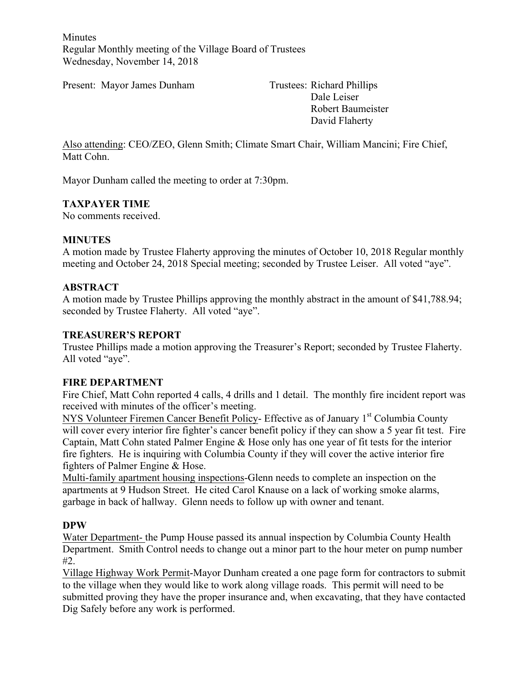Minutes Regular Monthly meeting of the Village Board of Trustees Wednesday, November 14, 2018

Present: Mayor James Dunham Trustees: Richard Phillips

Dale Leiser Robert Baumeister David Flaherty

Also attending: CEO/ZEO, Glenn Smith; Climate Smart Chair, William Mancini; Fire Chief, Matt Cohn.

Mayor Dunham called the meeting to order at 7:30pm.

#### **TAXPAYER TIME**

No comments received.

#### **MINUTES**

A motion made by Trustee Flaherty approving the minutes of October 10, 2018 Regular monthly meeting and October 24, 2018 Special meeting; seconded by Trustee Leiser. All voted "aye".

#### **ABSTRACT**

A motion made by Trustee Phillips approving the monthly abstract in the amount of \$41,788.94; seconded by Trustee Flaherty. All voted "aye".

### **TREASURER'S REPORT**

Trustee Phillips made a motion approving the Treasurer's Report; seconded by Trustee Flaherty. All voted "aye".

#### **FIRE DEPARTMENT**

Fire Chief, Matt Cohn reported 4 calls, 4 drills and 1 detail. The monthly fire incident report was received with minutes of the officer's meeting.

NYS Volunteer Firemen Cancer Benefit Policy- Effective as of January 1<sup>st</sup> Columbia County will cover every interior fire fighter's cancer benefit policy if they can show a 5 year fit test. Fire Captain, Matt Cohn stated Palmer Engine & Hose only has one year of fit tests for the interior fire fighters. He is inquiring with Columbia County if they will cover the active interior fire fighters of Palmer Engine & Hose.

Multi-family apartment housing inspections-Glenn needs to complete an inspection on the apartments at 9 Hudson Street. He cited Carol Knause on a lack of working smoke alarms, garbage in back of hallway. Glenn needs to follow up with owner and tenant.

#### **DPW**

Water Department- the Pump House passed its annual inspection by Columbia County Health Department. Smith Control needs to change out a minor part to the hour meter on pump number #2.

Village Highway Work Permit-Mayor Dunham created a one page form for contractors to submit to the village when they would like to work along village roads. This permit will need to be submitted proving they have the proper insurance and, when excavating, that they have contacted Dig Safely before any work is performed.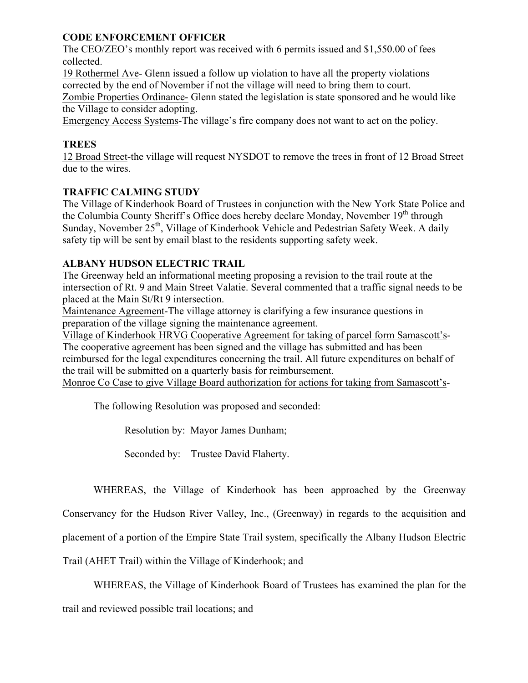### **CODE ENFORCEMENT OFFICER**

The CEO/ZEO's monthly report was received with 6 permits issued and \$1,550.00 of fees collected.

19 Rothermel Ave- Glenn issued a follow up violation to have all the property violations corrected by the end of November if not the village will need to bring them to court.

Zombie Properties Ordinance- Glenn stated the legislation is state sponsored and he would like the Village to consider adopting.

Emergency Access Systems-The village's fire company does not want to act on the policy.

## **TREES**

12 Broad Street-the village will request NYSDOT to remove the trees in front of 12 Broad Street due to the wires.

# **TRAFFIC CALMING STUDY**

The Village of Kinderhook Board of Trustees in conjunction with the New York State Police and the Columbia County Sheriff's Office does hereby declare Monday, November 19<sup>th</sup> through Sunday, November 25<sup>th</sup>, Village of Kinderhook Vehicle and Pedestrian Safety Week. A daily safety tip will be sent by email blast to the residents supporting safety week.

# **ALBANY HUDSON ELECTRIC TRAIL**

The Greenway held an informational meeting proposing a revision to the trail route at the intersection of Rt. 9 and Main Street Valatie. Several commented that a traffic signal needs to be placed at the Main St/Rt 9 intersection.

Maintenance Agreement-The village attorney is clarifying a few insurance questions in preparation of the village signing the maintenance agreement.

Village of Kinderhook HRVG Cooperative Agreement for taking of parcel form Samascott's-The cooperative agreement has been signed and the village has submitted and has been reimbursed for the legal expenditures concerning the trail. All future expenditures on behalf of the trail will be submitted on a quarterly basis for reimbursement.

Monroe Co Case to give Village Board authorization for actions for taking from Samascott's-

The following Resolution was proposed and seconded:

Resolution by: Mayor James Dunham;

Seconded by: Trustee David Flaherty.

WHEREAS, the Village of Kinderhook has been approached by the Greenway

Conservancy for the Hudson River Valley, Inc., (Greenway) in regards to the acquisition and

placement of a portion of the Empire State Trail system, specifically the Albany Hudson Electric

Trail (AHET Trail) within the Village of Kinderhook; and

WHEREAS, the Village of Kinderhook Board of Trustees has examined the plan for the

trail and reviewed possible trail locations; and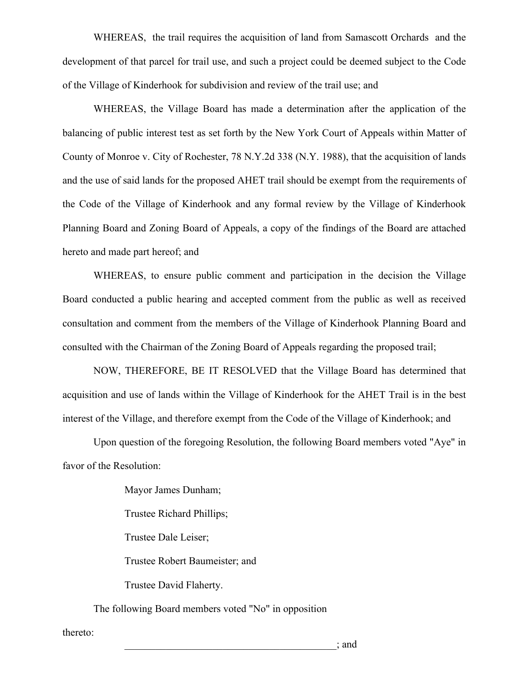WHEREAS, the trail requires the acquisition of land from Samascott Orchards and the development of that parcel for trail use, and such a project could be deemed subject to the Code of the Village of Kinderhook for subdivision and review of the trail use; and

WHEREAS, the Village Board has made a determination after the application of the balancing of public interest test as set forth by the New York Court of Appeals within Matter of County of Monroe v. City of Rochester, 78 N.Y.2d 338 (N.Y. 1988), that the acquisition of lands and the use of said lands for the proposed AHET trail should be exempt from the requirements of the Code of the Village of Kinderhook and any formal review by the Village of Kinderhook Planning Board and Zoning Board of Appeals, a copy of the findings of the Board are attached hereto and made part hereof; and

WHEREAS, to ensure public comment and participation in the decision the Village Board conducted a public hearing and accepted comment from the public as well as received consultation and comment from the members of the Village of Kinderhook Planning Board and consulted with the Chairman of the Zoning Board of Appeals regarding the proposed trail;

NOW, THEREFORE, BE IT RESOLVED that the Village Board has determined that acquisition and use of lands within the Village of Kinderhook for the AHET Trail is in the best interest of the Village, and therefore exempt from the Code of the Village of Kinderhook; and

Upon question of the foregoing Resolution, the following Board members voted "Aye" in favor of the Resolution:

Mayor James Dunham;

Trustee Richard Phillips;

Trustee Dale Leiser;

Trustee Robert Baumeister; and

Trustee David Flaherty.

The following Board members voted "No" in opposition

thereto: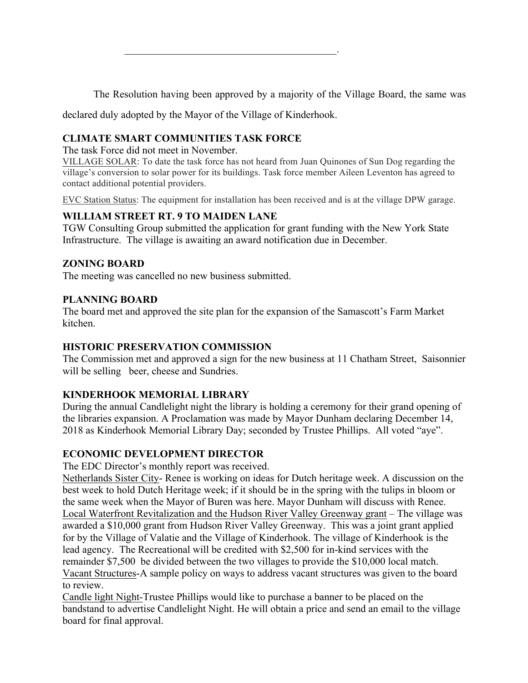The Resolution having been approved by a majority of the Village Board, the same was

declared duly adopted by the Mayor of the Village of Kinderhook.

 $\mathcal{L}_\text{max}$  and  $\mathcal{L}_\text{max}$  and  $\mathcal{L}_\text{max}$  and  $\mathcal{L}_\text{max}$ 

## **CLIMATE SMART COMMUNITIES TASK FORCE**

The task Force did not meet in November.

VILLAGE SOLAR: To date the task force has not heard from Juan Quinones of Sun Dog regarding the village's conversion to solar power for its buildings. Task force member Aileen Leventon has agreed to contact additional potential providers.

EVC Station Status: The equipment for installation has been received and is at the village DPW garage.

### **WILLIAM STREET RT. 9 TO MAIDEN LANE**

TGW Consulting Group submitted the application for grant funding with the New York State Infrastructure. The village is awaiting an award notification due in December.

### **ZONING BOARD**

The meeting was cancelled no new business submitted.

### **PLANNING BOARD**

The board met and approved the site plan for the expansion of the Samascott's Farm Market kitchen.

#### **HISTORIC PRESERVATION COMMISSION**

The Commission met and approved a sign for the new business at 11 Chatham Street, Saisonnier will be selling beer, cheese and Sundries.

## **KINDERHOOK MEMORIAL LIBRARY**

During the annual Candlelight night the library is holding a ceremony for their grand opening of the libraries expansion. A Proclamation was made by Mayor Dunham declaring December 14, 2018 as Kinderhook Memorial Library Day; seconded by Trustee Phillips. All voted "aye".

#### **ECONOMIC DEVELOPMENT DIRECTOR**

The EDC Director's monthly report was received.

Netherlands Sister City- Renee is working on ideas for Dutch heritage week. A discussion on the best week to hold Dutch Heritage week; if it should be in the spring with the tulips in bloom or the same week when the Mayor of Buren was here. Mayor Dunham will discuss with Renee. Local Waterfront Revitalization and the Hudson River Valley Greenway grant – The village was awarded a \$10,000 grant from Hudson River Valley Greenway. This was a joint grant applied for by the Village of Valatie and the Village of Kinderhook. The village of Kinderhook is the lead agency. The Recreational will be credited with \$2,500 for in-kind services with the remainder \$7,500 be divided between the two villages to provide the \$10,000 local match. Vacant Structures-A sample policy on ways to address vacant structures was given to the board to review.

Candle light Night-Trustee Phillips would like to purchase a banner to be placed on the bandstand to advertise Candlelight Night. He will obtain a price and send an email to the village board for final approval.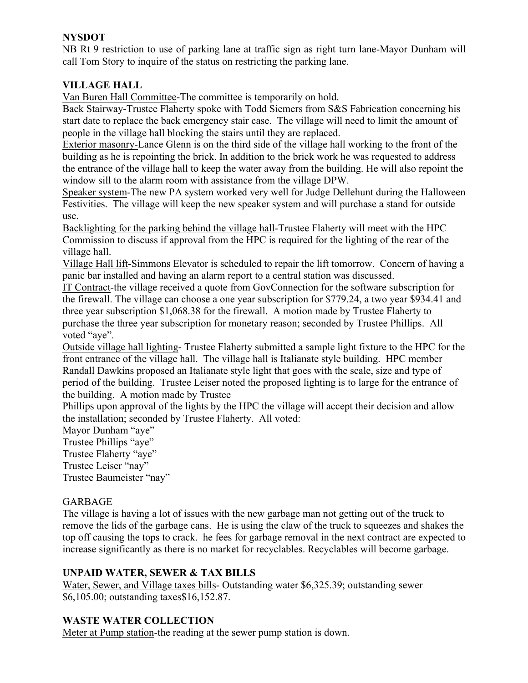## **NYSDOT**

NB Rt 9 restriction to use of parking lane at traffic sign as right turn lane-Mayor Dunham will call Tom Story to inquire of the status on restricting the parking lane.

# **VILLAGE HALL**

Van Buren Hall Committee-The committee is temporarily on hold.

Back Stairway-Trustee Flaherty spoke with Todd Siemers from S&S Fabrication concerning his start date to replace the back emergency stair case. The village will need to limit the amount of people in the village hall blocking the stairs until they are replaced.

Exterior masonry-Lance Glenn is on the third side of the village hall working to the front of the building as he is repointing the brick. In addition to the brick work he was requested to address the entrance of the village hall to keep the water away from the building. He will also repoint the window sill to the alarm room with assistance from the village DPW.

Speaker system-The new PA system worked very well for Judge Dellehunt during the Halloween Festivities. The village will keep the new speaker system and will purchase a stand for outside use.

Backlighting for the parking behind the village hall-Trustee Flaherty will meet with the HPC Commission to discuss if approval from the HPC is required for the lighting of the rear of the village hall.

Village Hall lift-Simmons Elevator is scheduled to repair the lift tomorrow. Concern of having a panic bar installed and having an alarm report to a central station was discussed.

IT Contract-the village received a quote from GovConnection for the software subscription for the firewall. The village can choose a one year subscription for \$779.24, a two year \$934.41 and three year subscription \$1,068.38 for the firewall. A motion made by Trustee Flaherty to purchase the three year subscription for monetary reason; seconded by Trustee Phillips. All voted "aye".

Outside village hall lighting- Trustee Flaherty submitted a sample light fixture to the HPC for the front entrance of the village hall. The village hall is Italianate style building. HPC member Randall Dawkins proposed an Italianate style light that goes with the scale, size and type of period of the building. Trustee Leiser noted the proposed lighting is to large for the entrance of the building. A motion made by Trustee

Phillips upon approval of the lights by the HPC the village will accept their decision and allow the installation; seconded by Trustee Flaherty. All voted:

Mayor Dunham "aye"

Trustee Phillips "aye"

Trustee Flaherty "aye"

Trustee Leiser "nay"

Trustee Baumeister "nay"

## GARBAGE

The village is having a lot of issues with the new garbage man not getting out of the truck to remove the lids of the garbage cans. He is using the claw of the truck to squeezes and shakes the top off causing the tops to crack. he fees for garbage removal in the next contract are expected to increase significantly as there is no market for recyclables. Recyclables will become garbage.

## **UNPAID WATER, SEWER & TAX BILLS**

Water, Sewer, and Village taxes bills- Outstanding water \$6,325.39; outstanding sewer \$6,105.00; outstanding taxes\$16,152.87.

## **WASTE WATER COLLECTION**

Meter at Pump station-the reading at the sewer pump station is down.